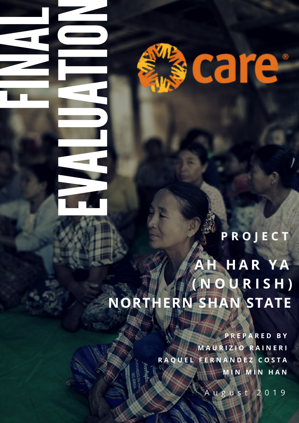

**Free** Section

E

Viene and

A

**Lating** 

United States

A

 $\equiv$ 

 $\qquad \qquad \qquad$ 

N

N

A

L

**P R O J E C T**

# **A H H A R Y A ( N O U R I S H ) NORTHERN SHAN STATE**

**P R E P A R E D B Y M A U R I Z I O R A I N E R I R A Q U E L F E R N A N D E Z C O S T A M I N M I N H A N**

A u g u s t 2 0 1 9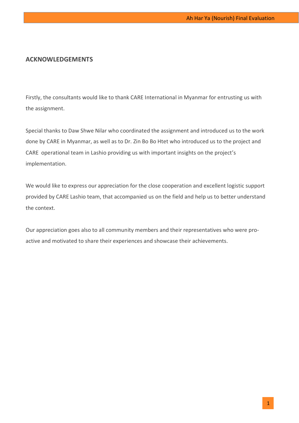# **ACKNOWLEDGEMENTS**

Firstly, the consultants would like to thank CARE International in Myanmar for entrusting us with the assignment.

Special thanks to Daw Shwe Nilar who coordinated the assignment and introduced us to the work done by CARE in Myanmar, as well as to Dr. Zin Bo Bo Htet who introduced us to the project and CARE operational team in Lashio providing us with important insights on the project's implementation.

We would like to express our appreciation for the close cooperation and excellent logistic support provided by CARE Lashio team, that accompanied us on the field and help us to better understand the context.

Our appreciation goes also to all community members and their representatives who were proactive and motivated to share their experiences and showcase their achievements.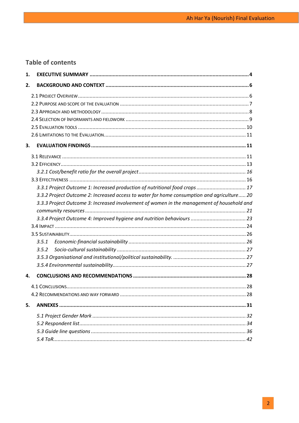# **Table of contents**

| 1. |                                                                                            |  |
|----|--------------------------------------------------------------------------------------------|--|
| 2. |                                                                                            |  |
|    |                                                                                            |  |
|    |                                                                                            |  |
|    |                                                                                            |  |
|    |                                                                                            |  |
|    |                                                                                            |  |
|    |                                                                                            |  |
| 3. |                                                                                            |  |
|    |                                                                                            |  |
|    |                                                                                            |  |
|    |                                                                                            |  |
|    |                                                                                            |  |
|    | 3.3.1 Project Outcome 1: Increased production of nutritional food crops  17                |  |
|    | 3.3.2 Project Outcome 2: Increased access to water for home consumption and agriculture 20 |  |
|    | 3.3.3 Project Outcome 3: Increased involvement of women in the management of household and |  |
|    |                                                                                            |  |
|    |                                                                                            |  |
|    |                                                                                            |  |
|    |                                                                                            |  |
|    | 3.5.1                                                                                      |  |
|    | 3.5.2                                                                                      |  |
|    |                                                                                            |  |
|    |                                                                                            |  |
| 4. |                                                                                            |  |
|    |                                                                                            |  |
|    |                                                                                            |  |
| 5. |                                                                                            |  |
|    |                                                                                            |  |
|    |                                                                                            |  |
|    |                                                                                            |  |
|    |                                                                                            |  |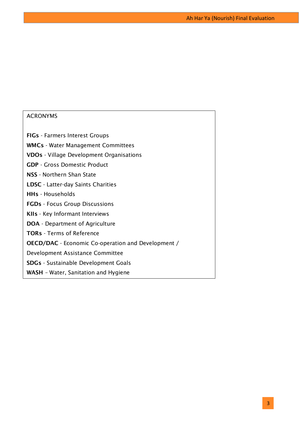# ACRONYMS

**FIGs** - Farmers Interest Groups **WMCs** - Water Management Committees **VDOs** - Village Development Organisations **GDP** - Gross Domestic Product **NSS** - Northern Shan State **LDSC** - Latter-day Saints Charities **HHs** - Households **FGDs** - Focus Group Discussions **KIIs** - Key Informant Interviews **DOA** - Department of Agriculture **TORs** - Terms of Reference **OECD/DAC** - Economic Co-operation and Development / Development Assistance Committee **SDGs** - Sustainable Development Goals **WASH** – Water, Sanitation and Hygiene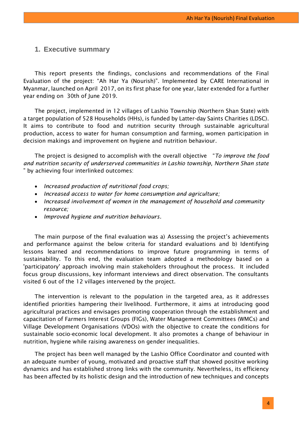# <span id="page-4-0"></span>**1. Executive summary**

This report presents the findings, conclusions and recommendations of the Final Evaluation of the project: "Ah Har Ya (Nourish)". Implemented by CARE International in Myanmar, launched on April 2017, on its first phase for one year, later extended for a further year ending on 30th of June 2019.

The project, implemented in 12 villages of Lashio Township (Northern Shan State) with a target population of 528 Households (HHs), is funded by Latter-day Saints Charities (LDSC). It aims to contribute to food and nutrition security through sustainable agricultural production, access to water for human consumption and farming, women participation in decision makings and improvement on hygiene and nutrition behaviour.

The project is designed to accomplish with the overall objective "*To improve the food and nutrition security of underserved communities in Lashio township, Northern Shan state*  " by achieving four interlinked outcomes:

- *Increased production of nutritional food crops;*
- *Increased access to water for home consumption and agriculture;*
- *Increased involvement of women in the management of household and community resource;*
- *Improved hygiene and nutrition behaviours.*

The main purpose of the final evaluation was a) Assessing the project's achievements and performance against the below criteria for standard evaluations and b) Identifying lessons learned and recommendations to improve future programming in terms of sustainability. To this end, the evaluation team adopted a methodology based on a 'participatory' approach involving main stakeholders throughout the process. It included focus group discussions, key informant interviews and direct observation. The consultants visited 6 out of the 12 villages intervened by the project.

The intervention is relevant to the population in the targeted area, as it addresses identified priorities hampering their livelihood. Furthermore, it aims at introducing good agricultural practices and envisages promoting cooperation through the establishment and capacitation of Farmers Interest Groups (FIGs), Water Management Committees (WMCs) and Village Development Organisations (VDOs) with the objective to create the conditions for sustainable socio-economic local development. It also promotes a change of behaviour in nutrition, hygiene while raising awareness on gender inequalities.

The project has been well managed by the Lashio Office Coordinator and counted with an adequate number of young, motivated and proactive staff that showed positive working dynamics and has established strong links with the community. Nevertheless, its efficiency has been affected by its holistic design and the introduction of new techniques and concepts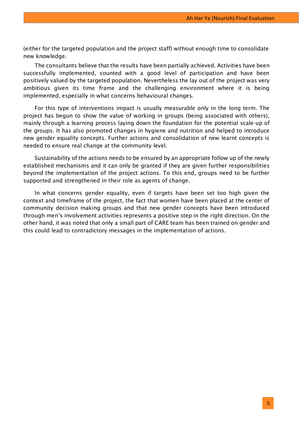(either for the targeted population and the project staff) without enough time to consolidate new knowledge.

The consultants believe that the results have been partially achieved. Activities have been successfully implemented, counted with a good level of participation and have been positively valued by the targeted population. Nevertheless the lay out of the project was very ambitious given its time frame and the challenging environment where it is being implemented, especially in what concerns behavioural changes.

For this type of interventions impact is usually measurable only in the long term. The project has begun to show the value of working in groups (being associated with others), mainly through a learning process laying down the foundation for the potential scale-up of the groups. It has also promoted changes in hygiene and nutrition and helped to introduce new gender equality concepts. Further actions and consolidation of new learnt concepts is needed to ensure real change at the community level.

Sustainability of the actions needs to be ensured by an appropriate follow up of the newly established mechanisms and it can only be granted if they are given further responsibilities beyond the implementation of the project actions. To this end, groups need to be further supported and strengthened in their role as agents of change.

In what concerns gender equality, even if targets have been set too high given the context and timeframe of the project, the fact that women have been placed at the center of community decision making groups and that new gender concepts have been introduced through men's involvement activities represents a positive step in the right direction. On the other hand, it was noted that only a small part of CARE team has been trained on gender and this could lead to contradictory messages in the implementation of actions.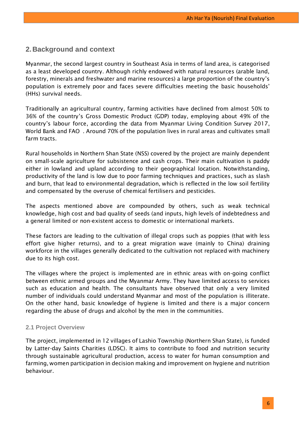# <span id="page-6-0"></span>**2.Background and context**

Myanmar, the second largest country in Southeast Asia in terms of land area, is categorised as a least developed country. Although richly endowed with natural resources (arable land, forestry, minerals and freshwater and marine resources) a large proportion of the country's population is extremely poor and faces severe difficulties meeting the basic households' (HHs) survival needs.

Traditionally an agricultural country, farming activities have declined from almost 50% to 36% of the country's Gross Domestic Product (GDP) today, employing about 49% of the country's labour force, according the data from Myanmar Living Condition Survey 2017, World Bank and FAO . Around 70% of the population lives in rural areas and cultivates small farm tracts.

Rural households in Northern Shan State (NSS) covered by the project are mainly dependent on small-scale agriculture for subsistence and cash crops. Their main cultivation is paddy either in lowland and upland according to their geographical location. Notwithstanding, productivity of the land is low due to poor farming techniques and practices, such as slash and burn, that lead to environmental degradation, which is reflected in the low soil fertility and compensated by the overuse of chemical fertilisers and pesticides.

The aspects mentioned above are compounded by others, such as weak technical knowledge, high cost and bad quality of seeds (and inputs, high levels of indebtedness and a general limited or non-existent access to domestic or international markets.

These factors are leading to the cultivation of illegal crops such as poppies (that with less effort give higher returns), and to a great migration wave (mainly to China) draining workforce in the villages generally dedicated to the cultivation not replaced with machinery due to its high cost.

The villages where the project is implemented are in ethnic areas with on-going conflict between ethnic armed groups and the Myanmar Army. They have limited access to services such as education and health. The consultants have observed that only a very limited number of individuals could understand Myanmar and most of the population is illiterate. On the other hand, basic knowledge of hygiene is limited and there is a major concern regarding the abuse of drugs and alcohol by the men in the communities.

#### <span id="page-6-1"></span>**2.1 Project Overview**

The project, implemented in 12 villages of Lashio Township (Northern Shan State), is funded by Latter-day Saints Charities (LDSC). It aims to contribute to food and nutrition security through sustainable agricultural production, access to water for human consumption and farming, women participation in decision making and improvement on hygiene and nutrition behaviour.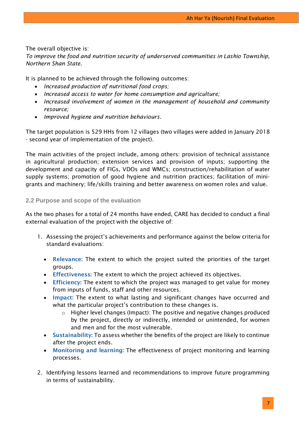The overall objective is:

*To improve the food and nutrition security of underserved communities in Lashio Township, Northern Shan State.*

It is planned to be achieved through the following outcomes:

- *Increased production of nutritional food crops;*
- *Increased access to water for home consumption and agriculture;*
- *Increased involvement of women in the management of household and community resource;*
- *Improved hygiene and nutrition behaviours.*

The target population is 529 HHs from 12 villages (two villages were added in January 2018 - second year of implementation of the project).

The main activities of the project include, among others: provision of technical assistance in agricultural production; extension services and provision of inputs; supporting the development and capacity of FIGs, VDOs and WMCs; construction/rehabilitation of water supply systems; promotion of good hygiene and nutrition practices; facilitation of minigrants and machinery; life/skills training and better awareness on women roles and value.

# <span id="page-7-0"></span>**2.2 Purpose and scope of the evaluation**

As the two phases for a total of 24 months have ended, CARE has decided to conduct a final external evaluation of the project with the objective of:

- 1. Assessing the project's achievements and performance against the below criteria for standard evaluations:
	- **Relevance:** The extent to which the project suited the priorities of the target groups.
	- **Effectiveness:** The extent to which the project achieved its objectives.
	- **Efficiency:** The extent to which the project was managed to get value for money from inputs of funds, staff and other resources.
	- **Impact:** The extent to what lasting and significant changes have occurred and what the particular project's contribution to these changes is.
		- o Higher level changes (Impact): The positive and negative changes produced by the project, directly or indirectly, intended or unintended, for women and men and for the most vulnerable.
	- **Sustainability:** To assess whether the benefits of the project are likely to continue after the project ends.
	- **Monitoring and learning:** The effectiveness of project monitoring and learning processes.
- 2. Identifying lessons learned and recommendations to improve future programming in terms of sustainability.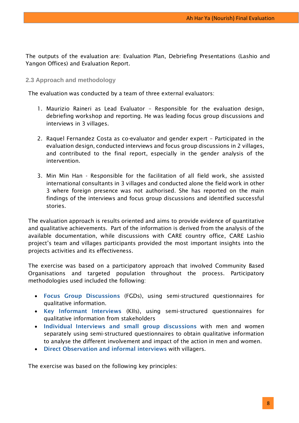The outputs of the evaluation are: Evaluation Plan, Debriefing Presentations (Lashio and Yangon Offices) and Evaluation Report.

## <span id="page-8-0"></span>**2.3 Approach and methodology**

The evaluation was conducted by a team of three external evaluators:

- 1. Maurizio Raineri as Lead Evaluator Responsible for the evaluation design, debriefing workshop and reporting. He was leading focus group discussions and interviews in 3 villages.
- 2. Raquel Fernandez Costa as co-evaluator and gender expert Participated in the evaluation design, conducted interviews and focus group discussions in 2 villages, and contributed to the final report, especially in the gender analysis of the intervention.
- 3. Min Min Han Responsible for the facilitation of all field work, she assisted international consultants in 3 villages and conducted alone the field work in other 3 where foreign presence was not authorised. She has reported on the main findings of the interviews and focus group discussions and identified successful stories.

The evaluation approach is results oriented and aims to provide evidence of quantitative and qualitative achievements. Part of the information is derived from the analysis of the available documentation, while discussions with CARE country office, CARE Lashio project's team and villages participants provided the most important insights into the projects activities and its effectiveness.

The exercise was based on a participatory approach that involved Community Based Organisations and targeted population throughout the process. Participatory methodologies used included the following:

- **Focus Group Discussions** (FGDs), using semi-structured questionnaires for qualitative information.
- **Key Informant Interviews** (KIIs), using semi-structured questionnaires for qualitative information from stakeholders
- **Individual Interviews and small group discussions** with men and women separately using semi-structured questionnaires to obtain qualitative information to analyse the different involvement and impact of the action in men and women.
- **Direct Observation and informal interviews** with villagers.

The exercise was based on the following key principles: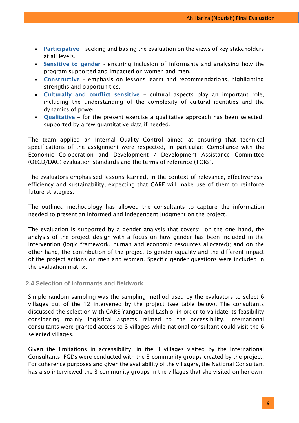- **Participative**  seeking and basing the evaluation on the views of key stakeholders at all levels.
- **Sensitive to gender** ensuring inclusion of informants and analysing how the program supported and impacted on women and men.
- **Constructive**  emphasis on lessons learnt and recommendations, highlighting strengths and opportunities.
- **Culturally and conflict sensitive** cultural aspects play an important role, including the understanding of the complexity of cultural identities and the dynamics of power.
- **Qualitative –** for the present exercise a qualitative approach has been selected, supported by a few quantitative data if needed.

The team applied an Internal Quality Control aimed at ensuring that technical specifications of the assignment were respected, in particular: Compliance with the Economic Co-operation and Development / Development Assistance Committee (OECD/DAC) evaluation standards and the terms of reference (TORs).

The evaluators emphasised lessons learned, in the context of relevance, effectiveness, efficiency and sustainability, expecting that CARE will make use of them to reinforce future strategies.

The outlined methodology has allowed the consultants to capture the information needed to present an informed and independent judgment on the project.

The evaluation is supported by a gender analysis that covers: on the one hand, the analysis of the project design with a focus on how gender has been included in the intervention (logic framework, human and economic resources allocated); and on the other hand, the contribution of the project to gender equality and the different impact of the project actions on men and women. Specific gender questions were included in the evaluation matrix.

# <span id="page-9-0"></span>**2.4 Selection of Informants and fieldwork**

Simple random sampling was the sampling method used by the evaluators to select 6 villages out of the 12 intervened by the project (see table below). The consultants discussed the selection with CARE Yangon and Lashio, in order to validate its feasibility considering mainly logistical aspects related to the accessibility. International consultants were granted access to 3 villages while national consultant could visit the 6 selected villages.

Given the limitations in accessibility, in the 3 villages visited by the International Consultants, FGDs were conducted with the 3 community groups created by the project. For coherence purposes and given the availability of the villagers, the National Consultant has also interviewed the 3 community groups in the villages that she visited on her own.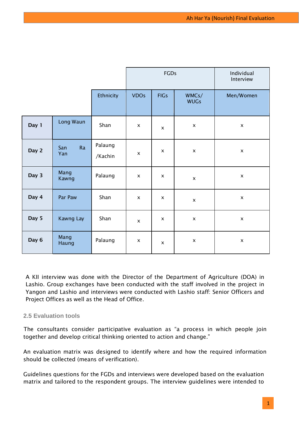|       |                  |                    |                | FGDs           |                      | Individual<br>Interview |
|-------|------------------|--------------------|----------------|----------------|----------------------|-------------------------|
|       |                  | Ethnicity          | <b>VDOs</b>    | <b>FIGs</b>    | WMCs/<br><b>WUGs</b> | Men/Women               |
| Day 1 | Long Waun        | Shan               | $\pmb{\times}$ | $\pmb{\times}$ | $\pmb{\times}$       | $\pmb{\times}$          |
| Day 2 | Ra<br>San<br>Yan | Palaung<br>/Kachin | $\pmb{\times}$ | $\pmb{\times}$ | $\pmb{\times}$       | $\pmb{\times}$          |
| Day 3 | Mang<br>Kawng    | Palaung            | $\pmb{\times}$ | X              | X                    | $\pmb{\times}$          |
| Day 4 | Par Paw          | Shan               | $\pmb{\times}$ | X              | $\pmb{\times}$       | $\pmb{\times}$          |
| Day 5 | Kawng Lay        | Shan               | $\pmb{\times}$ | $\pmb{\times}$ | $\pmb{\times}$       | $\pmb{\times}$          |
| Day 6 | Mang<br>Haung    | Palaung            | $\pmb{\times}$ | X              | $\pmb{\mathsf{X}}$   | $\pmb{\mathsf{X}}$      |

A KII interview was done with the Director of the Department of Agriculture (DOA) in Lashio. Group exchanges have been conducted with the staff involved in the project in Yangon and Lashio and interviews were conducted with Lashio staff: Senior Officers and Project Offices as well as the Head of Office.

# <span id="page-10-0"></span>**2.5 Evaluation tools**

The consultants consider participative evaluation as "a process in which people join together and develop critical thinking oriented to action and change."

An evaluation matrix was designed to identify where and how the required information should be collected (means of verification).

Guidelines questions for the FGDs and interviews were developed based on the evaluation matrix and tailored to the respondent groups. The interview guidelines were intended to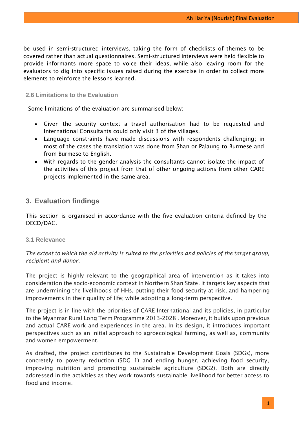be used in semi-structured interviews, taking the form of checklists of themes to be covered rather than actual questionnaires. Semi-structured interviews were held flexible to provide informants more space to voice their ideas, while also leaving room for the evaluators to dig into specific issues raised during the exercise in order to collect more elements to reinforce the lessons learned.

### <span id="page-11-0"></span>**2.6 Limitations to the Evaluation**

Some limitations of the evaluation are summarised below:

- Given the security context a travel authorisation had to be requested and International Consultants could only visit 3 of the villages.
- Language constraints have made discussions with respondents challenging; in most of the cases the translation was done from Shan or Palaung to Burmese and from Burmese to English.
- With regards to the gender analysis the consultants cannot isolate the impact of the activities of this project from that of other ongoing actions from other CARE projects implemented in the same area.

# <span id="page-11-1"></span>**3. Evaluation findings**

This section is organised in accordance with the five evaluation criteria defined by the OECD/DAC.

# <span id="page-11-2"></span>**3.1 Relevance**

*The extent to which the aid activity is suited to the priorities and policies of the target group, recipient and donor.*

The project is highly relevant to the geographical area of intervention as it takes into consideration the socio-economic context in Northern Shan State. It targets key aspects that are undermining the livelihoods of HHs, putting their food security at risk, and hampering improvements in their quality of life; while adopting a long-term perspective.

The project is in line with the priorities of CARE International and its policies, in particular to the Myanmar Rural Long Term Programme 2013-2028 . Moreover, it builds upon previous and actual CARE work and experiences in the area. In its design, it introduces important perspectives such as an initial approach to agroecological farming, as well as, community and women empowerment.

As drafted, the project contributes to the Sustainable Development Goals (SDGs), more concretely to poverty reduction (SDG 1) and ending hunger, achieving food security, improving nutrition and promoting sustainable agriculture (SDG2). Both are directly addressed in the activities as they work towards sustainable livelihood for better access to food and income.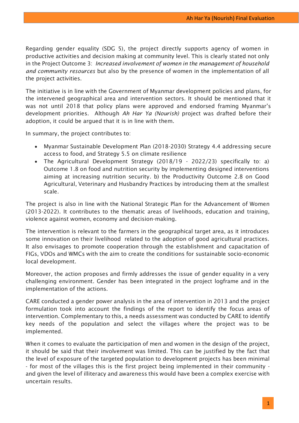Regarding gender equality (SDG 5), the project directly supports agency of women in productive activities and decision making at community level. This is clearly stated not only in the Project Outcome 3: *Increased involvement of women in the management of household and community resources* but also by the presence of women in the implementation of all the project activities.

The initiative is in line with the Government of Myanmar development policies and plans, for the intervened geographical area and intervention sectors. It should be mentioned that it was not until 2018 that policy plans were approved and endorsed framing Myanmar's development priorities. Although *Ah Har Ya (Nourish)* project was drafted before their adoption, it could be argued that it is in line with them.

In summary, the project contributes to:

- Myanmar Sustainable Development Plan (2018-2030) Strategy 4.4 addressing secure access to food, and Strategy 5.5 on climate resilience
- The Agricultural Development Strategy (2018/19 2022/23) specifically to: a) Outcome 1.8 on food and nutrition security by implementing designed interventions aiming at increasing nutrition security. b) the Productivity Outcome 2.8 on Good Agricultural, Veterinary and Husbandry Practices by introducing them at the smallest scale.

The project is also in line with the National Strategic Plan for the Advancement of Women (2013-2022). It contributes to the thematic areas of livelihoods, education and training, violence against women, economy and decision-making.

The intervention is relevant to the farmers in the geographical target area, as it introduces some innovation on their livelihood related to the adoption of good agricultural practices. It also envisages to promote cooperation through the establishment and capacitation of FIGs, VDOs and WMCs with the aim to create the conditions for sustainable socio-economic local development.

Moreover, the action proposes and firmly addresses the issue of gender equality in a very challenging environment. Gender has been integrated in the project logframe and in the implementation of the actions.

CARE conducted a gender power analysis in the area of intervention in 2013 and the project formulation took into account the findings of the report to identify the focus areas of intervention. Complementary to this, a needs assessment was conducted by CARE to identify key needs of the population and select the villages where the project was to be implemented.

When it comes to evaluate the participation of men and women in the design of the project, it should be said that their involvement was limited. This can be justified by the fact that the level of exposure of the targeted population to development projects has been minimal - for most of the villages this is the first project being implemented in their community and given the level of illiteracy and awareness this would have been a complex exercise with uncertain results.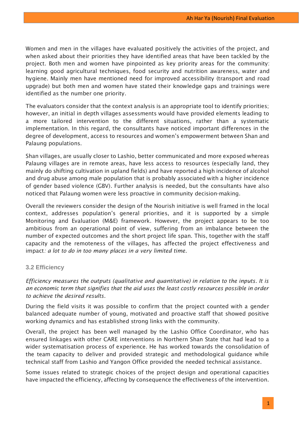Women and men in the villages have evaluated positively the activities of the project, and when asked about their priorities they have identified areas that have been tackled by the project. Both men and women have pinpointed as key priority areas for the community: learning good agricultural techniques, food security and nutrition awareness, water and hygiene. Mainly men have mentioned need for improved accessibility (transport and road upgrade) but both men and women have stated their knowledge gaps and trainings were identified as the number one priority.

The evaluators consider that the context analysis is an appropriate tool to identify priorities; however, an initial in depth villages assessments would have provided elements leading to a more tailored intervention to the different situations, rather than a systematic implementation. In this regard, the consultants have noticed important differences in the degree of development, access to resources and women's empowerment between Shan and Palaung populations.

Shan villages, are usually closer to Lashio, better communicated and more exposed whereas Palaung villages are in remote areas, have less access to resources (especially land, they mainly do shifting cultivation in upland fields) and have reported a high incidence of alcohol and drug abuse among male population that is probably associated with a higher incidence of gender based violence (GBV). Further analysis is needed, but the consultants have also noticed that Palaung women were less proactive in community decision-making.

Overall the reviewers consider the design of the Nourish initiative is well framed in the local context, addresses population's general priorities, and it is supported by a simple Monitoring and Evaluation (M&E) framework. However, the project appears to be too ambitious from an operational point of view, suffering from an imbalance between the number of expected outcomes and the short project life span. This, together with the staff capacity and the remoteness of the villages, has affected the project effectiveness and impact*: a lot to do in too many places in a very limited time*.

# <span id="page-13-0"></span>**3.2 Efficiency**

*Efficiency measures the outputs (qualitative and quantitative) in relation to the inputs. It is an economic term that signifies that the aid uses the least costly resources possible in order to achieve the desired results.* 

During the field visits it was possible to confirm that the project counted with a gender balanced adequate number of young, motivated and proactive staff that showed positive working dynamics and has established strong links with the community.

Overall, the project has been well managed by the Lashio Office Coordinator, who has ensured linkages with other CARE interventions in Northern Shan State that had lead to a wider systematisation process of experience. He has worked towards the consolidation of the team capacity to deliver and provided strategic and methodological guidance while technical staff from Lashio and Yangon Office provided the needed technical assistance.

Some issues related to strategic choices of the project design and operational capacities have impacted the efficiency, affecting by consequence the effectiveness of the intervention.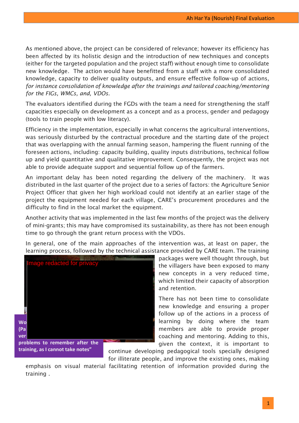As mentioned above, the project can be considered of relevance; however its efficiency has been affected by its holistic design and the introduction of new techniques and concepts (either for the targeted population and the project staff) without enough time to consolidate new knowledge. The action would have benefitted from a staff with a more consolidated knowledge, capacity to deliver quality outputs, and ensure effective follow-up of actions*, for instance consolidation of knowledge after the trainings and tailored coaching/mentoring for the FIGs, WMCs, and, VDOs*.

The evaluators identified during the FGDs with the team a need for strengthening the staff capacities especially on development as a concept and as a process, gender and pedagogy (tools to train people with low literacy).

Efficiency in the implementation, especially in what concerns the agricultural interventions, was seriously disturbed by the contractual procedure and the starting date of the project that was overlapping with the annual farming season, hampering the fluent running of the foreseen actions, including: capacity building, quality inputs distributions, technical follow up and yield quantitative and qualitative improvement. Consequently, the project was not able to provide adequate support and sequential follow up of the farmers.

An important delay has been noted regarding the delivery of the machinery. It was distributed in the last quarter of the project due to a series of factors: the Agriculture Senior Project Officer that given her high workload could not identify at an earlier stage of the project the equipment needed for each village, CARE's procurement procedures and the difficulty to find in the local market the equipment.

Another activity that was implemented in the last few months of the project was the delivery of mini-grants; this may have compromised its sustainability, as there has not been enough time to go through the grant return process with the VDOs.

In general, one of the main approaches of the intervention was, at least on paper, the learning process, followed by the technical assistance provided by CARE team. The training



packages were well thought through, but the villagers have been exposed to many new concepts in a very reduced time, which limited their capacity of absorption and retention.

There has not been time to consolidate new knowledge and ensuring a proper follow up of the actions in a process of learning by doing where the team members are able to provide proper coaching and mentoring. Adding to this, given the context, it is important to

continue developing pedagogical tools specially designed for illiterate people, and improve the existing ones, making

emphasis on visual material facilitating retention of information provided during the training .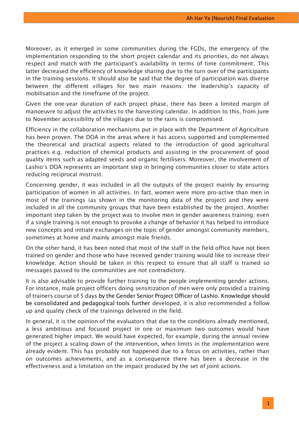Moreover, as it emerged in some communities during the FGDs, the emergency of the implementation responding to the short project calendar and its priorities, do not always respect and match with the participant's availability in terms of time commitment. This latter decreased the efficiency of knowledge sharing due to the turn over of the participants in the training sessions. It should also be said that the degree of participation was diverse between the different villages for two main reasons: the leadership's capacity of mobilisation and the timeframe of the project.

Given the one-year duration of each project phase, there has been a limited margin of manoeuvre to adjust the activities to the harvesting calendar. In addition to this, from June to November accessibility of the villages due to the rains is compromised.

Efficiency in the collaboration mechanisms put in place with the Department of Agriculture has been proven. The DOA in the areas where it has access supported and complemented the theoretical and practical aspects related to the introduction of good agricultural practices e.g. reduction of chemical products and assisting in the procurement of good quality items such as adapted seeds and organic fertilisers. Moreover, the involvement of Lashio's DOA represents an important step in bringing communities closer to state actors reducing reciprocal mistrust.

Concerning gender, it was included in all the outputs of the project mainly by ensuring participation of women in all activities. In fact, women were more pro-active than men in most of the trainings (as shown in the monitoring data of the project) and they were included in all the community groups that have been established by the project. Another important step taken by the project was to involve men in gender awareness training; even if a single training is not enough to provoke a change of behavior it has helped to introduce new concepts and initiate exchanges on the topic of gender amongst community members, sometimes at home and mainly amongst male friends.

On the other hand, it has been noted that most of the staff in the field office have not been trained on gender and those who have received gender training would like to increase their knowledge. Action should be taken in this respect to ensure that all staff is trained so messages passed to the communities are not contradictory.

It is also advisable to provide further training to the people implementing gender actions. For instance, male project officers doing sensitization of men were only provided a training of trainers course of 5 days by the Gender Senior Project Officer of Lashio. Knowledge should be consolidated and pedagogical tools further developed, it is also recommended a follow up and quality check of the trainings delivered in the field.

In general, it is the opinion of the evaluators that due to the conditions already mentioned, a less ambitious and focused project in one or maximum two outcomes would have generated higher impact. We would have expected, for example, during the annual review of the project a scaling down of the intervention, when limits in the implementation were already evident. This has probably not happened due to a focus on activities, rather than on outcomes achievements, and as a consequence there has been a decrease in the effectiveness and a limitation on the impact produced by the set of joint actions.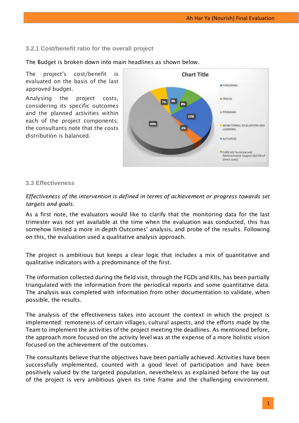## <span id="page-16-0"></span>**3.2.1 Cost/benefit ratio for the overall project**

The Budget is broken down into main headlines as shown below.

The project's cost/benefit is evaluated on the basis of the last approved budget.

Analysing the project costs, considering its specific outcomes and the planned activities within each of the project components; the consultants note that the costs distribution is balanced.



#### <span id="page-16-1"></span>**3.3 Effectiveness**

*Effectiveness of the intervention is defined in terms of achievement or progress towards set targets and goals.* 

As a first note, the evaluators would like to clarify that the monitoring data for the last trimester was not yet available at the time when the evaluation was conducted, this has somehow limited a more in depth Outcomes' analysis, and probe of the results. Following on this, the evaluation used a qualitative analysis approach.

The project is ambitious but keeps a clear logic that includes a mix of quantitative and qualitative indicators with a predominance of the first.

The information collected during the field visit, through the FGDs and KIIs, has been partially triangulated with the information from the periodical reports and some quantitative data. The analysis was completed with information from other documentation to validate, when possible, the results.

The analysis of the effectiveness takes into account the context in which the project is implemented: remoteness of certain villages, cultural aspects, and the efforts made by the Team to implement the activities of the project meeting the deadlines. As mentioned before, the approach more focused on the activity level was at the expense of a more holistic vision focused on the achievement of the outcomes.

The consultants believe that the objectives have been partially achieved. Activities have been successfully implemented, counted with a good level of participation and have been positively valued by the targeted population, nevertheless as explained before the lay out of the project is very ambitious given its time frame and the challenging environment.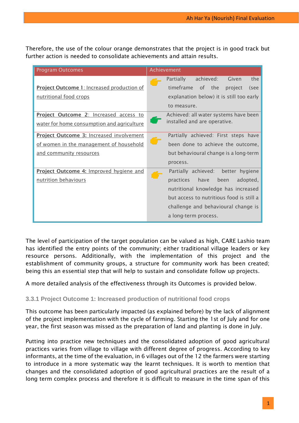Therefore, the use of the colour orange demonstrates that the project is in good track but further action is needed to consolidate achievements and attain results.

| <b>Program Outcomes</b>                           | Achievement                                   |
|---------------------------------------------------|-----------------------------------------------|
|                                                   | achieved:<br>the<br><b>Partially</b><br>Given |
| <b>Project Outcome 1: Increased production of</b> | timeframe<br>of the<br>project<br>(see        |
| nutritional food crops                            | explanation below) it is still too early      |
|                                                   | to measure.                                   |
| Project Outcome 2: Increased access to            | Achieved: all water systems have been         |
| water for home consumption and agriculture        | installed and are operative.                  |
| Project Outcome 3: Increased involvement          | Partially achieved: First steps have          |
| of women in the management of household           | been done to achieve the outcome,             |
| and community resources                           | but behavioural change is a long-term         |
|                                                   | process.                                      |
| Project Outcome 4: Improved hygiene and           | Partially achieved:<br>better hygiene         |
| nutrition behaviours                              | adopted,<br>practices<br>have<br>been         |
|                                                   | nutritional knowledge has increased           |
|                                                   | but access to nutritious food is still a      |
|                                                   | challenge and behavioural change is           |
|                                                   | a long-term process.                          |

The level of participation of the target population can be valued as high, CARE Lashio team has identified the entry points of the community; either traditional village leaders or key resource persons. Additionally, with the implementation of this project and the establishment of community groups, a structure for community work has been created; being this an essential step that will help to sustain and consolidate follow up projects.

<span id="page-17-0"></span>A more detailed analysis of the effectiveness through its Outcomes is provided below.

# **3.3.1 Project Outcome 1: Increased production of nutritional food crops**

This outcome has been particularly impacted (as explained before) by the lack of alignment of the project implementation with the cycle of farming. Starting the 1st of July and for one year, the first season was missed as the preparation of land and planting is done in July.

Putting into practice new techniques and the consolidated adoption of good agricultural practices varies from village to village with different degree of progress. According to key informants, at the time of the evaluation, in 6 villages out of the 12 the farmers were starting to introduce in a more systematic way the learnt techniques. It is worth to mention that changes and the consolidated adoption of good agricultural practices are the result of a long term complex process and therefore it is difficult to measure in the time span of this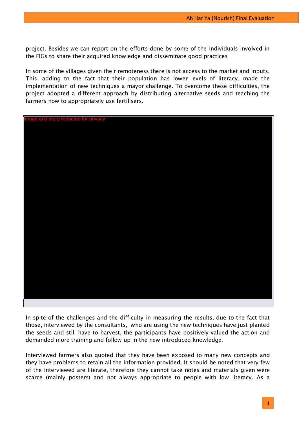project. Besides we can report on the efforts done by some of the individuals involved in the FIGs to share their acquired knowledge and disseminate good practices

In some of the villages given their remoteness there is not access to the market and inputs. This, adding to the fact that their population has lower levels of literacy, made the implementation of new techniques a mayor challenge. To overcome these difficulties, the project adopted a different approach by distributing alternative seeds and teaching the farmers how to appropriately use fertilisers.



In spite of the challenges and the difficulty in measuring the results, due to the fact that those, interviewed by the consultants, who are using the new techniques have just planted the seeds and still have to harvest, the participants have positively valued the action and demanded more training and follow up in the new introduced knowledge.

Interviewed farmers also quoted that they have been exposed to many new concepts and they have problems to retain all the information provided. It should be noted that very few of the interviewed are literate, therefore they cannot take notes and materials given were scarce (mainly posters) and not always appropriate to people with low literacy. As a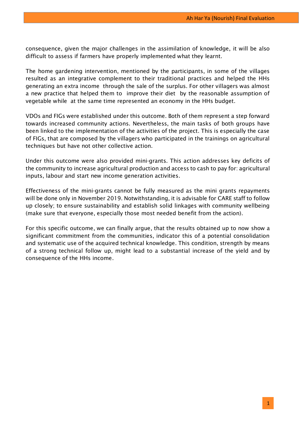consequence, given the major challenges in the assimilation of knowledge, it will be also difficult to assess if farmers have properly implemented what they learnt.

The home gardening intervention, mentioned by the participants, in some of the villages resulted as an integrative complement to their traditional practices and helped the HHs generating an extra income through the sale of the surplus. For other villagers was almost a new practice that helped them to improve their diet by the reasonable assumption of vegetable while at the same time represented an economy in the HHs budget.

VDOs and FIGs were established under this outcome. Both of them represent a step forward towards increased community actions. Nevertheless, the main tasks of both groups have been linked to the implementation of the activities of the project. This is especially the case of FIGs, that are composed by the villagers who participated in the trainings on agricultural techniques but have not other collective action.

Under this outcome were also provided mini-grants. This action addresses key deficits of the community to increase agricultural production and access to cash to pay for: agricultural inputs, labour and start new income generation activities.

Effectiveness of the mini-grants cannot be fully measured as the mini grants repayments will be done only in November 2019. Notwithstanding, it is advisable for CARE staff to follow up closely; to ensure sustainability and establish solid linkages with community wellbeing (make sure that everyone, especially those most needed benefit from the action).

For this specific outcome, we can finally argue, that the results obtained up to now show a significant commitment from the communities, indicator this of a potential consolidation and systematic use of the acquired technical knowledge. This condition, strength by means of a strong technical follow up, might lead to a substantial increase of the yield and by consequence of the HHs income.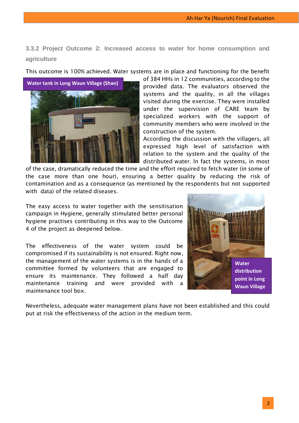Ah Har Ya (Nourish) Final Evaluation

<span id="page-20-0"></span>**3.3.2 Project Outcome 2: Increased access to water for home consumption and agriculture**

This outcome is 100% achieved. Water systems are in place and functioning for the benefit

of 384 HHs in 12 communities, according to the provided data. The evaluators observed the systems and the quality, in all the villages visited during the exercise. They were installed under the supervision of CARE team by specialized workers with the support of community members who were involved in the construction of the system.

According the discussion with the villagers, all expressed high level of satisfaction with relation to the system and the quality of the distributed water. In fact the systems, in most

of the case, dramatically reduced the time and the effort required to fetch water (in some of the case more than one hour), ensuring a better quality by reducing the risk of contamination and as a consequence (as mentioned by the respondents but not supported with data) of the related diseases.

The easy access to water together with the sensitisation campaign in Hygiene, generally stimulated better personal hygiene practises contributing in this way to the Outcome 4 of the project as deepened below.

The effectiveness of the water system could be compromised if its sustainability is not ensured. Right now, the management of the water systems is in the hands of a committee formed by volunteers that are engaged to ensure its maintenance. They followed a half day maintenance training and were provided with a maintenance tool box.

Nevertheless, adequate water management plans have not been established and this could put at risk the effectiveness of the action in the medium term.

<span id="page-20-1"></span>

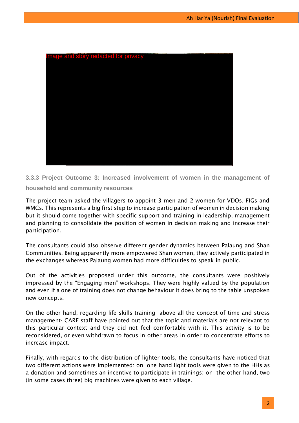

**3.3.3 Project Outcome 3: Increased involvement of women in the management of household and community resources** 

The project team asked the villagers to appoint 3 men and 2 women for VDOs, FIGs and WMCs. This represents a big first step to increase participation of women in decision making but it should come together with specific support and training in leadership, management and planning to consolidate the position of women in decision making and increase their participation.

The consultants could also observe different gender dynamics between Palaung and Shan Communities. Being apparently more empowered Shan women, they actively participated in the exchanges whereas Palaung women had more difficulties to speak in public.

Out of the activities proposed under this outcome, the consultants were positively impressed by the "Engaging men" workshops. They were highly valued by the population and even if a one of training does not change behaviour it does bring to the table unspoken new concepts.

On the other hand, regarding life skills training- above all the concept of time and stress management- CARE staff have pointed out that the topic and materials are not relevant to this particular context and they did not feel comfortable with it. This activity is to be reconsidered, or even withdrawn to focus in other areas in order to concentrate efforts to increase impact.

Finally, with regards to the distribution of lighter tools, the consultants have noticed that two different actions were implemented: on one hand light tools were given to the HHs as a donation and sometimes an incentive to participate in trainings; on the other hand, two (in some cases three) big machines were given to each village.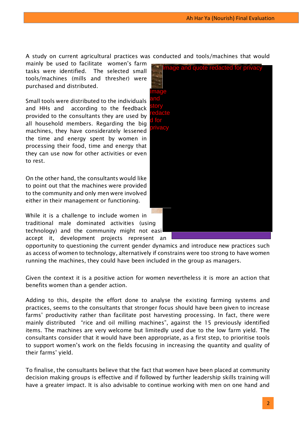A study on current agricultural practices was conducted and tools/machines that would

mainly be used to facilitate women's farm tasks were identified. The selected small tools/machines (mills and thresher) were purchased and distributed.

Small tools were distributed to the individuals and HHs and according to the feedback provided to the consultants they are used by all household members. Regarding the big machines, they have considerately lessened the time and energy spent by women in processing their food, time and energy that they can use now for other activities or even to rest.

On the other hand, the consultants would like to point out that the machines were provided to the community and only men were involved either in their management or functioning.

While it is a challenge to include women in traditional male dominated activities (using technology) and the community might not easi accept it, development projects represent an

opportunity to questioning the current gender dynamics and introduce new practices such as access of women to technology, alternatively if constrains were too strong to have women running the machines, they could have been included in the group as managers.

Given the context it is a positive action for women nevertheless it is more an action that benefits women than a gender action.

Adding to this, despite the effort done to analyse the existing farming systems and practices, seems to the consultants that stronger focus should have been given to increase farms' productivity rather than facilitate post harvesting processing. In fact, there were mainly distributed "rice and oil milling machines", against the 15 previously identified items. The machines are very welcome but limitedly used due to the low farm yield. The consultants consider that it would have been appropriate, as a first step, to prioritise tools to support women's work on the fields focusing in increasing the quantity and quality of their farms' yield.

To finalise, the consultants believe that the fact that women have been placed at community decision making groups is effective and if followed by further leadership skills training will have a greater impact. It is also advisable to continue working with men on one hand and

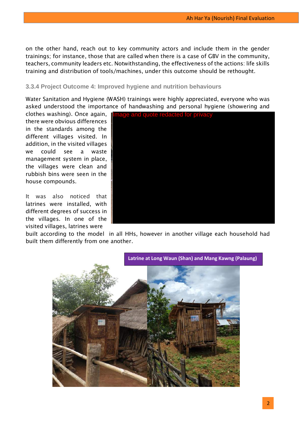on the other hand, reach out to key community actors and include them in the gender trainings; for instance, those that are called when there is a case of GBV in the community, teachers, community leaders etc. Notwithstanding, the effectiveness of the actions: life skills training and distribution of tools/machines, under this outcome should be rethought.

## <span id="page-23-0"></span>**3.3.4 Project Outcome 4: Improved hygiene and nutrition behaviours**

Water Sanitation and Hygiene (WASH) trainings were highly appreciated, everyone who was asked understood the importance of handwashing and personal hygiene (showering and

clothes washing). Once again, there were obvious differences in the standards among the different villages visited. In addition, in the visited villages we could see a waste management system in place, the villages were clean and rubbish bins were seen in the house compounds.

It was also noticed that latrines were installed, with different degrees of success in the villages. In one of the visited villages, latrines were



built according to the model in all HHs, however in another village each household had built them differently from one another.

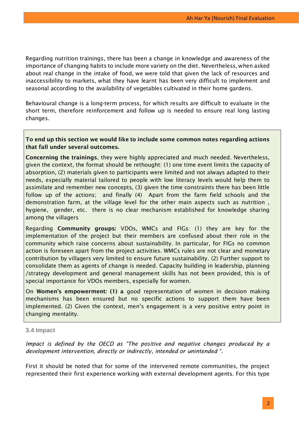Regarding nutrition trainings, there has been a change in knowledge and awareness of the importance of changing habits to include more variety on the diet. Nevertheless, when asked about real change in the intake of food, we were told that given the lack of resources and inaccessibility to markets, what they have learnt has been very difficult to implement and seasonal according to the availability of vegetables cultivated in their home gardens.

Behavioural change is a long-term process, for which results are difficult to evaluate in the short term, therefore reinforcement and follow up is needed to ensure real long lasting changes.

## **To end up this section we would like to include some common notes regarding actions that fall under several outcomes.**

**Concerning the trainings**, they were highly appreciated and much needed. Nevertheless, given the context, the format should be rethought: (1) one time event limits the capacity of absorption, (2) materials given to participants were limited and not always adapted to their needs, especially material tailored to people with low literacy levels would help them to assimilate and remember new concepts, (3) given the time constraints there has been little follow up of the actions; and finally (4) Apart from the farm field schools and the demonstration farm, at the village level for the other main aspects such as nutrition , hygiene, gender, etc. there is no clear mechanism established for knowledge sharing among the villagers

Regarding **Community groups:** VDOs, WMCs and FIGs: (1) they are key for the implementation of the project but their members are confused about their role in the community which raise concerns about sustainability. In particular, for FIGs no common action is foreseen apart from the project activities. WMCs rules are not clear and monetary contribution by villagers very limited to ensure future sustainability. (2) Further support to consolidate them as agents of change is needed. Capacity building in leadership, planning /strategy development and general management skills has not been provided, this is of special importance for VDOs members, especially for women.

On **Women's empowerment: (1) a** good representation of women in decision making mechanisms has been ensured but no specific actions to support them have been implemented. (2) Given the context, men's engagement is a very positive entry point in changing mentality.

#### <span id="page-24-0"></span>**3.4 Impact**

*Impact is defined by the OECD as "The positive and negative changes produced by a development intervention, directly or indirectly, intended or unintended ".*

First it should be noted that for some of the intervened remote communities, the project represented their first experience working with external development agents. For this type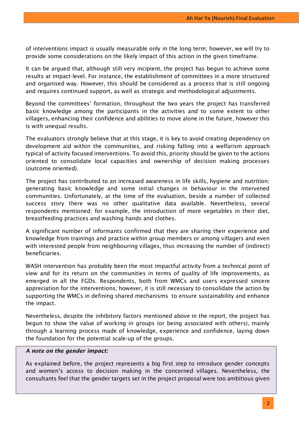of interventions impact is usually measurable only in the long term; however, we will try to provide some considerations on the likely impact of this action in the given timeframe.

It can be argued that, although still very incipient, the project has begun to achieve some results at impact-level. For instance, the establishment of committees in a more structured and organised way. However, this should be considered as a process that is still ongoing and requires continued support, as well as strategic and methodological adjustments.

Beyond the committees' formation, throughout the two years the project has transferred basic knowledge among the participants in the activities and to some extent to other villagers, enhancing their confidence and abilities to move alone in the future, however this is with unequal results.

The evaluators strongly believe that at this stage, it is key to avoid creating dependency on development aid within the communities, and risking falling into a welfarism approach typical of activity focused interventions. To avoid this, priority should be given to the actions oriented to consolidate local capacities and ownership of decision making processes (outcome oriented).

The project has contributed to an increased awareness in life skills, hygiene and nutrition; generating basic knowledge and some initial changes in behaviour in the intervened communities. Unfortunately, at the time of the evaluation, beside a number of collected success story there was no other qualitative data available. Nevertheless, several respondents mentioned; for example, the introduction of more vegetables in their diet, breastfeeding practices and washing hands and clothes.

A significant number of informants confirmed that they are sharing their experience and knowledge from trainings and practice within group members or among villagers and even with interested people from neighbouring villages, thus increasing the number of (indirect) beneficiaries.

WASH intervention has probably been the most impactful activity from a technical point of view and for its return on the communities in terms of quality of life improvements, as emerged in all the FGDs. Respondents, both from WMCs and users expressed sincere appreciation for the interventions; however, it is still necessary to consolidate the action by supporting the WMCs in defining shared mechanisms to ensure sustainability and enhance the impact.

Nevertheless, despite the inhibitory factors mentioned above in the report, the project has begun to show the value of working in groups (or being associated with others), mainly through a learning process made of knowledge, experience and confidence, laying down the foundation for the potential scale-up of the groups.

#### *A note on the gender impact:*

As explained before, the project represents a big first step to introduce gender concepts and women's access to decision making in the concerned villages. Nevertheless, the consultants feel that the gender targets set in the project proposal were too ambitious given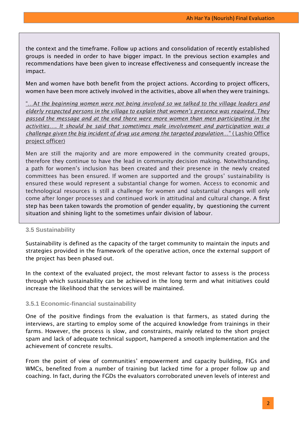the context and the timeframe. Follow up actions and consolidation of recently established groups is needed in order to have bigger impact. In the previous section examples and recommendations have been given to increase effectiveness and consequently increase the impact.

Men and women have both benefit from the project actions. According to project officers, women have been more actively involved in the activities, above all when they were trainings.

"…A*t the beginning women were not being involved so we talked to the village leaders and elderly respected persons in the village to explain that women's presence was required. They passed the message and at the end there were more women than men participating in the activities…. It should be said that sometimes male involvement and participation was a challenge given the big incident of drug use among the targeted population*…" ( Lashio Office project officer)

Men are still the majority and are more empowered in the community created groups, therefore they continue to have the lead in community decision making. Notwithstanding, a path for women's inclusion has been created and their presence in the newly created committees has been ensured. If women are supported and the groups' sustainability is ensured these would represent a substantial change for women. Access to economic and technological resources is still a challenge for women and substantial changes will only come after longer processes and continued work in attitudinal and cultural change. A first step has been taken towards the promotion of gender equality, by questioning the current situation and shining light to the sometimes unfair division of labour.

#### <span id="page-26-0"></span>**3.5 Sustainability**

Sustainability is defined as the capacity of the target community to maintain the inputs and strategies provided in the framework of the operative action, once the external support of the project has been phased out.

In the context of the evaluated project, the most relevant factor to assess is the process through which sustainability can be achieved in the long term and what initiatives could increase the likelihood that the services will be maintained.

#### <span id="page-26-1"></span>**3.5.1 Economic-financial sustainability**

One of the positive findings from the evaluation is that farmers, as stated during the interviews, are starting to employ some of the acquired knowledge from trainings in their farms. However, the process is slow, and constraints, mainly related to the short project spam and lack of adequate technical support, hampered a smooth implementation and the achievement of concrete results.

From the point of view of communities' empowerment and capacity building, FIGs and WMCs, benefited from a number of training but lacked time for a proper follow up and coaching. In fact, during the FGDs the evaluators corroborated uneven levels of interest and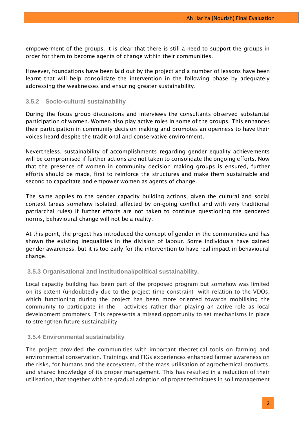empowerment of the groups. It is clear that there is still a need to support the groups in order for them to become agents of change within their communities.

However, foundations have been laid out by the project and a number of lessons have been learnt that will help consolidate the intervention in the following phase by adequately addressing the weaknesses and ensuring greater sustainability.

## <span id="page-27-0"></span>**3.5.2 Socio-cultural sustainability**

During the focus group discussions and interviews the consultants observed substantial participation of women. Women also play active roles in some of the groups. This enhances their participation in community decision making and promotes an openness to have their voices heard despite the traditional and conservative environment.

Nevertheless, sustainability of accomplishments regarding gender equality achievements will be compromised if further actions are not taken to consolidate the ongoing efforts. Now that the presence of women in community decision making groups is ensured, further efforts should be made, first to reinforce the structures and make them sustainable and second to capacitate and empower women as agents of change.

The same applies to the gender capacity building actions, given the cultural and social context (areas somehow isolated, affected by on-going conflict and with very traditional patriarchal rules) if further efforts are not taken to continue questioning the gendered norms, behavioural change will not be a reality.

At this point, the project has introduced the concept of gender in the communities and has shown the existing inequalities in the division of labour. Some individuals have gained gender awareness, but it is too early for the intervention to have real impact in behavioural change.

#### <span id="page-27-1"></span>**3.5.3 Organisational and institutional/political sustainability.**

Local capacity building has been part of the proposed program but somehow was limited on its extent (undoubtedly due to the project time constrain) with relation to the VDOs, which functioning during the project has been more oriented towards mobilising the community to participate in the activities rather than playing an active role as local development promoters. This represents a missed opportunity to set mechanisms in place to strengthen future sustainability

#### <span id="page-27-2"></span>**3.5.4 Environmental sustainability**

The project provided the communities with important theoretical tools on farming and environmental conservation. Trainings and FIGs experiences enhanced farmer awareness on the risks, for humans and the ecosystem, of the mass utilisation of agrochemical products, and shared knowledge of its proper management. This has resulted in a reduction of their utilisation, that together with the gradual adoption of proper techniques in soil management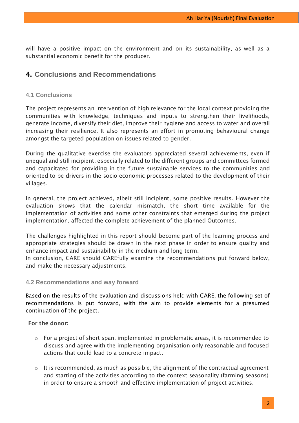will have a positive impact on the environment and on its sustainability, as well as a substantial economic benefit for the producer.

# <span id="page-28-0"></span>**4. Conclusions and Recommendations**

## <span id="page-28-1"></span>**4.1 Conclusions**

The project represents an intervention of high relevance for the local context providing the communities with knowledge, techniques and inputs to strengthen their livelihoods, generate income, diversify their diet, improve their hygiene and access to water and overall increasing their resilience. It also represents an effort in promoting behavioural change amongst the targeted population on issues related to gender.

During the qualitative exercise the evaluators appreciated several achievements, even if unequal and still incipient, especially related to the different groups and committees formed and capacitated for providing in the future sustainable services to the communities and oriented to be drivers in the socio-economic processes related to the development of their villages.

In general, the project achieved, albeit still incipient, some positive results. However the evaluation shows that the calendar mismatch, the short time available for the implementation of activities and some other constraints that emerged during the project implementation, affected the complete achievement of the planned Outcomes.

The challenges highlighted in this report should become part of the learning process and appropriate strategies should be drawn in the next phase in order to ensure quality and enhance impact and sustainability in the medium and long term.

In conclusion, CARE should CAREfully examine the recommendations put forward below, and make the necessary adjustments.

#### <span id="page-28-2"></span>**4.2 Recommendations and way forward**

Based on the results of the evaluation and discussions held with CARE, the following set of recommendations is put forward, with the aim to provide elements for a presumed continuation of the project.

**For the donor:**

- $\circ$  For a project of short span, implemented in problematic areas, it is recommended to discuss and agree with the implementing organisation only reasonable and focused actions that could lead to a concrete impact.
- $\circ$  It is recommended, as much as possible, the alignment of the contractual agreement and starting of the activities according to the context seasonality (farming seasons) in order to ensure a smooth and effective implementation of project activities.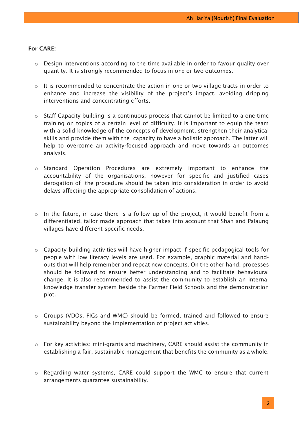#### **For CARE:**

- o Design interventions according to the time available in order to favour quality over quantity. It is strongly recommended to focus in one or two outcomes.
- $\circ$  It is recommended to concentrate the action in one or two village tracts in order to enhance and increase the visibility of the project's impact, avoiding dripping interventions and concentrating efforts.
- o Staff Capacity building is a continuous process that cannot be limited to a one-time training on topics of a certain level of difficulty. It is important to equip the team with a solid knowledge of the concepts of development, strengthen their analytical skills and provide them with the capacity to have a holistic approach. The latter will help to overcome an activity-focused approach and move towards an outcomes analysis.
- o Standard Operation Procedures are extremely important to enhance the accountability of the organisations, however for specific and justified cases derogation of the procedure should be taken into consideration in order to avoid delays affecting the appropriate consolidation of actions.
- o In the future, in case there is a follow up of the project, it would benefit from a differentiated, tailor made approach that takes into account that Shan and Palaung villages have different specific needs.
- o Capacity building activities will have higher impact if specific pedagogical tools for people with low literacy levels are used. For example, graphic material and handouts that will help remember and repeat new concepts. On the other hand, processes should be followed to ensure better understanding and to facilitate behavioural change. It is also recommended to assist the community to establish an internal knowledge transfer system beside the Farmer Field Schools and the demonstration plot.
- o Groups (VDOs, FIGs and WMC) should be formed, trained and followed to ensure sustainability beyond the implementation of project activities.
- o For key activities: mini-grants and machinery, CARE should assist the community in establishing a fair, sustainable management that benefits the community as a whole.
- o Regarding water systems, CARE could support the WMC to ensure that current arrangements guarantee sustainability.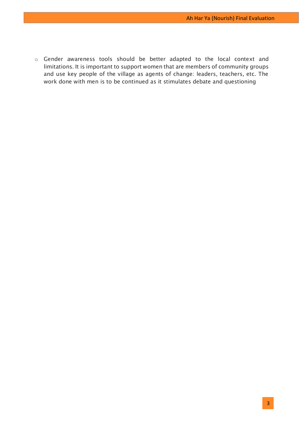o Gender awareness tools should be better adapted to the local context and limitations. It is important to support women that are members of community groups and use key people of the village as agents of change: leaders, teachers, etc. The work done with men is to be continued as it stimulates debate and questioning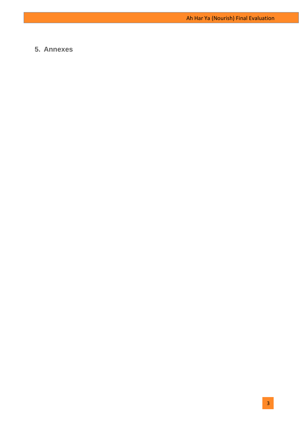# <span id="page-31-0"></span>**5. Annexes**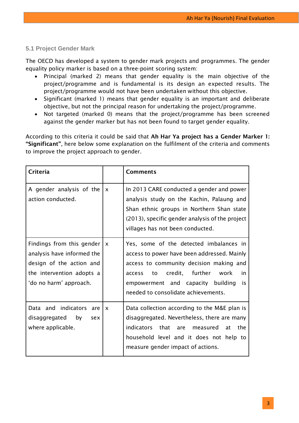# <span id="page-32-0"></span>**5.1 Project Gender Mark**

The OECD has developed a system to gender mark projects and programmes. The gender equality policy marker is based on a three-point scoring system:

- Principal (marked 2) means that gender equality is the main objective of the project/programme and is fundamental is its design an expected results. The project/programme would not have been undertaken without this objective.
- Significant (marked 1) means that gender equality is an important and deliberate objective, but not the principal reason for undertaking the project/programme.
- Not targeted (marked 0) means that the project/programme has been screened against the gender marker but has not been found to target gender equality.

According to this criteria it could be said that **Ah Har Ya project has a Gender Marker 1: "Significant"**, here below some explanation on the fulfilment of the criteria and comments to improve the project approach to gender.

| <b>Criteria</b>                                                                                                                                            |              | <b>Comments</b>                                                                                                                                                                                                                                                         |
|------------------------------------------------------------------------------------------------------------------------------------------------------------|--------------|-------------------------------------------------------------------------------------------------------------------------------------------------------------------------------------------------------------------------------------------------------------------------|
| A gender analysis of the<br>action conducted.                                                                                                              | $\mathsf{x}$ | In 2013 CARE conducted a gender and power<br>analysis study on the Kachin, Palaung and<br>Shan ethnic groups in Northern Shan state<br>(2013), specific gender analysis of the project<br>villages has not been conducted.                                              |
| Findings from this gender $\vert x \vert$<br>analysis have informed the<br>design of the action and<br>the intervention adopts a<br>'do no harm' approach. |              | Yes, some of the detected imbalances in<br>access to power have been addressed. Mainly<br>access to community decision making and<br>credit, further<br>work<br>in<br>access<br>to to<br>empowerment and capacity building<br>is<br>needed to consolidate achievements. |
| Data and indicators are<br>disaggregated by<br>sex<br>where applicable.                                                                                    | $\mathsf{x}$ | Data collection according to the M&E plan is<br>disaggregated. Nevertheless, there are many<br>that are measured<br>indicators<br>the<br>at<br>household level and it does not help to<br>measure gender impact of actions.                                             |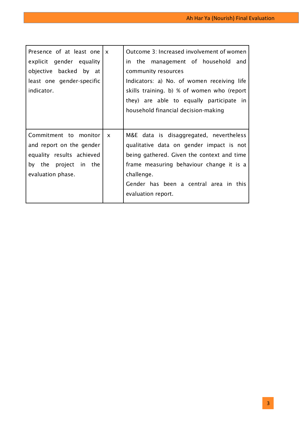| Presence of at least one $\vert x \vert$<br>explicit gender equality<br>objective backed by at<br>least one gender-specific<br>indicator. |              | Outcome 3: Increased involvement of women<br>in the management of household and<br>community resources<br>Indicators: a) No. of women receiving life<br>skills training. b) % of women who (report<br>they) are able to equally participate in<br>household financial decision-making |
|-------------------------------------------------------------------------------------------------------------------------------------------|--------------|---------------------------------------------------------------------------------------------------------------------------------------------------------------------------------------------------------------------------------------------------------------------------------------|
| Commitment to monitor<br>and report on the gender<br>equality results achieved<br>by the project in the<br>evaluation phase.              | $\mathsf{x}$ | M&E data is disaggregated, nevertheless<br>qualitative data on gender impact is not<br>being gathered. Given the context and time<br>frame measuring behaviour change it is a<br>challenge.<br>Gender has been a central area in this<br>evaluation report.                           |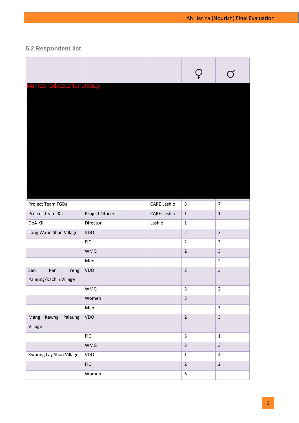# <span id="page-34-0"></span>**5.2 Respondent list**

| Names redacted for privacy                   |                 |                    |                         |                         |
|----------------------------------------------|-----------------|--------------------|-------------------------|-------------------------|
| Project Team FGDs                            |                 | <b>CARE Lashio</b> | 5                       | $\overline{7}$          |
| Project Team KII                             | Project Officer | <b>CARE Lashio</b> | $\mathbf{1}$            | $\mathbf 1$             |
| DoA KII                                      | Director        | Lashio             | $\mathbf{1}$            |                         |
| Long Waun Shan Village                       | VDO             |                    | $\overline{2}$          | $\overline{3}$          |
|                                              | ${\sf FIG}$     |                    | $\overline{2}$          | $\overline{3}$          |
|                                              | <b>WMG</b>      |                    | $\overline{2}$          | $\overline{3}$          |
|                                              | Men             |                    |                         | $\overline{2}$          |
| San<br>Ran<br>Yeng<br>Palaung/Kachin Village | VDO             |                    | $\overline{2}$          | $\overline{\mathbf{3}}$ |
|                                              | WMG             |                    | 3                       | $\overline{2}$          |
|                                              | Women           |                    | $\overline{\mathbf{3}}$ |                         |
|                                              | Man             |                    |                         | $\overline{3}$          |
| Kawng Palaung<br>Mang<br>Village             | VDO             |                    | $\overline{2}$          | $\overline{3}$          |
|                                              | ${\sf FIG}$     |                    | $\overline{\mathbf{3}}$ | $\mathbf 1$             |
|                                              | <b>WMG</b>      |                    | $\overline{2}$          | $\overline{3}$          |
| Kwaung Lay Shan Village                      | VDO             |                    | $\mathbf 1$             | $\sqrt{4}$              |
|                                              | ${\sf FIG}$     |                    | $\overline{2}$          | $\overline{2}$          |
|                                              | Women           |                    | 5                       |                         |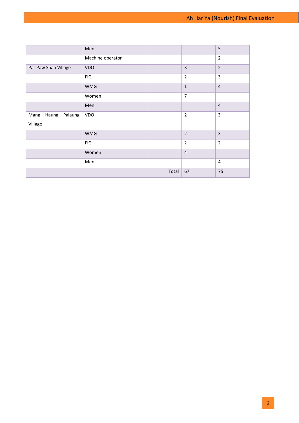<span id="page-35-0"></span>

|                                     | Men              |       |                | 5              |
|-------------------------------------|------------------|-------|----------------|----------------|
|                                     | Machine operator |       |                | $\overline{2}$ |
| Par Paw Shan Village                | <b>VDO</b>       |       | $\overline{3}$ | $\overline{2}$ |
|                                     | ${\sf FIG}$      |       | $\overline{2}$ | $\overline{3}$ |
|                                     | <b>WMG</b>       |       | $\mathbf{1}$   | $\overline{4}$ |
|                                     | Women            |       | $\overline{7}$ |                |
|                                     | Men              |       |                | $\overline{4}$ |
| Mang<br>Haung<br>Palaung<br>Village | VDO              |       | $\overline{2}$ | $\overline{3}$ |
|                                     | <b>WMG</b>       |       | $\overline{2}$ | $\overline{3}$ |
|                                     | <b>FIG</b>       |       | $\overline{2}$ | $\overline{2}$ |
|                                     | Women            |       | $\overline{4}$ |                |
|                                     | Men              |       |                | $\overline{4}$ |
|                                     |                  | Total | 67             | 75             |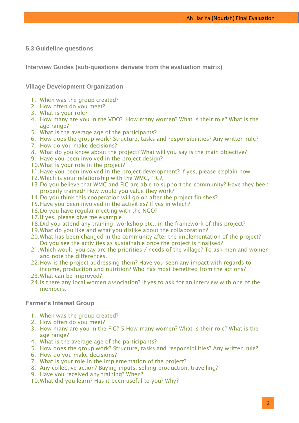# **5.3 Guideline questions**

**Interview Guides (sub-questions derivate from the evaluation matrix)**

**Village Development Organization**

- 1. When was the group created?
- 2. How often do you meet?
- 3. What is your role?
- 4. How many are you in the VDO? How many women? What is their role? What is the age range?
- 5. What is the average age of the participants?
- 6. How does the group work? Structure, tasks and responsibilities? Any written rule?
- 7. How do you make decisions?
- 8. What do you know about the project? What will you say is the main objective?
- 9. Have you been involved in the project design?
- 10.What is your role in the project?
- 11.Have you been involved in the project development? If yes, please explain how
- 12.Which is your relationship with the WMC, FIG?,
- 13.Do you believe that WMC and FIG are able to support the community? Have they been properly trained? How would you value they work?
- 14.Do you think this cooperation will go on after the project finishes?
- 15.Have you been involved in the activities? If yes in which?
- 16.Do you have regular meeting with the NGO?
- 17.If yes, please give me example
- 18.Did you attend any training, workshop etc.. in the framework of this project?
- 19.What do you like and what you dislike about the collaboration?
- 20.What has been changed in the community after the implementation of the project? Do you see the activities as sustainable once the project is finalised?
- 21.Which would you say are the priorities / needs of the village? To ask men and women and note the differences.
- 22.How is the project addressing them? Have you seen any impact with regards to income, production and nutrition? Who has most benefited from the actions?
- 23.What can be improved?
- 24.Is there any local women association? If yes to ask for an interview with one of the members.

# **Farmer's Interest Group**

- 1. When was the group created?
- 2. How often do you meet?
- 3. How many are you in the FIG? 5 How many women? What is their role? What is the age range?
- 4. What is the average age of the participants?
- 5. How does the group work? Structure, tasks and responsibilities? Any written rule?
- 6. How do you make decisions?
- 7. What is your role in the implementation of the project?
- 8. Any collective action? Buying inputs, selling production, travelling?
- 9. Have you received any training? When?
- 10.What did you learn? Has it been useful to you? Why?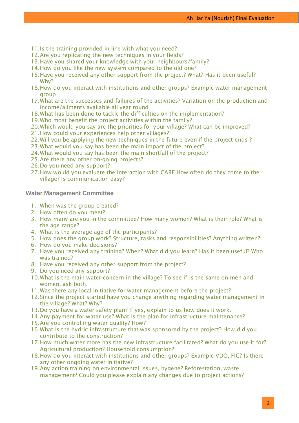- 11.Is the training provided in line with what you need?
- 12.Are you replicating the new techniques in your fields?
- 13.Have you shared your knowledge with your neighbours/family?
- 14.How do you like the new system compared to the old one?
- 15.Have you received any other support from the project? What? Has it been useful? Why?
- 16.How do you interact with institutions and other groups? Example water management group
- 17.What are the successes and failures of the activities? Variation on the production and income/aliments available all year round
- 18.What has been done to tackle the difficulties on the implementation?
- 19.Who most benefit the project activities within the family?
- 20.Which would you say are the priorities for your village? What can be improved?
- 21.How could your experiences help other villages?
- 22.Will you be applying the new techniques in the future even if the project ends ?
- 23.What would you say has been the main impact of the project?
- 24.What would you say has been the main shortfall of the project?
- 25.Are there any other on-going projects?
- 26.Do you need any support?
- 27.How would you evaluate the interaction with CARE How often do they come to the village? Is communication easy?

**Water Management Committee** 

- 1. When was the group created?
- 2. How often do you meet?
- 3. How many are you in the committee? How many women? What is their role? What is the age range?
- 4. What is the average age of the participants?
- 5. How does the group work? Structure, tasks and responsibilities? Anything written?
- 6. How do you make decisions?
- 7. Have you received any training? When? What did you learn? Has it been useful? Who was trained?
- 8. Have you received any other support from the project?
- 9. Do you need any support?
- 10.What is the main water concern in the village? To see if is the same on men and women, ask both.
- 11.Was there any local initiative for water management before the project?
- 12.Since the project started have you change anything regarding water management in the village? What? Why?
- 13.Do you have a water safety plan? If yes, explain to us how does it work.
- 14.Any payment for water use? What is the plan for infrastructure maintenance?
- 15.Are you controlling water quality? How?
- 16.What is the hydric infrastructure that was sponsored by the project? How did you contribute to the construction?
- 17.How much water more has the new infrastructure facilitated? What do you use it for? Agricultural production? Household consumption?
- 18.How do you interact with institutions and other groups? Example VDO, FIG? Is there any other ongoing water initiative?
- 19.Any action training on environmental issues, hygene? Reforestation, waste management? Could you please explain any changes due to project actions?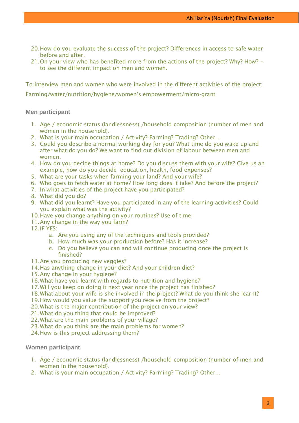- 20.How do you evaluate the success of the project? Differences in access to safe water before and after.
- 21.On your view who has benefited more from the actions of the project? Why? How? to see the different impact on men and women.

To interview men and women who were involved in the different activities of the project:

Farming/water/nutrition/hygiene/women's empowerment/micro-grant

# **Men participant**

- 1. Age / economic status (landlessness) /household composition (number of men and women in the household).
- 2. What is your main occupation / Activity? Farming? Trading? Other…
- 3. Could you describe a normal working day for you? What time do you wake up and after what do you do? We want to find out division of labour between men and women.
- 4. How do you decide things at home? Do you discuss them with your wife? Give us an example, how do you decide education, health, food expenses?
- 5. What are your tasks when farming your land? And your wife?
- 6. Who goes to fetch water at home? How long does it take? And before the project?
- 7. In what activities of the project have you participated?
- 8. What did you do?
- 9. What did you learnt? Have you participated in any of the learning activities? Could you explain what was the activity?
- 10.Have you change anything on your routines? Use of time
- 11.Any change in the way you farm?
- 12.IF YES:
	- a. Are you using any of the techniques and tools provided?
	- b. How much was your production before? Has it increase?
	- c. Do you believe you can and will continue producing once the project is finished?
- 13.Are you producing new veggies?
- 14.Has anything change in your diet? And your children diet?
- 15.Any change in your hygiene?
- 16.What have you learnt with regards to nutrition and hygiene?
- 17.Will you keep on doing it next year once the project has finished?
- 18.What about your wife is she involved in the project? What do you think she learnt?
- 19.How would you value the support you receive from the project?
- 20.What is the major contribution of the project on your view?
- 21.What do you thing that could be improved?
- 22.What are the main problems of your village?
- 23.What do you think are the main problems for women?
- 24.How is this project addressing them?

# **Women participant**

- 1. Age / economic status (landlessness) /household composition (number of men and women in the household).
- 2. What is your main occupation / Activity? Farming? Trading? Other…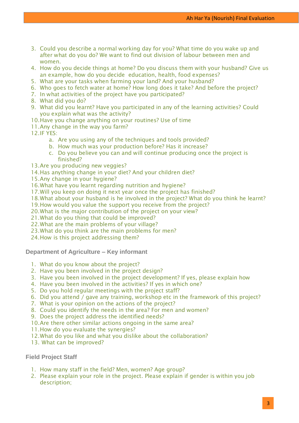- 3. Could you describe a normal working day for you? What time do you wake up and after what do you do? We want to find out division of labour between men and women.
- 4. How do you decide things at home? Do you discuss them with your husband? Give us an example, how do you decide education, health, food expenses?
- 5. What are your tasks when farming your land? And your husband?
- 6. Who goes to fetch water at home? How long does it take? And before the project?
- 7. In what activities of the project have you participated?
- 8. What did you do?
- 9. What did you learnt? Have you participated in any of the learning activities? Could you explain what was the activity?
- 10.Have you change anything on your routines? Use of time
- 11.Any change in the way you farm?

12.IF YES:

- a. Are you using any of the techniques and tools provided?
- b. How much was your production before? Has it increase?
- c. Do you believe you can and will continue producing once the project is finished?
- 13.Are you producing new veggies?
- 14.Has anything change in your diet? And your children diet?
- 15.Any change in your hygiene?
- 16.What have you learnt regarding nutrition and hygiene?
- 17.Will you keep on doing it next year once the project has finished?
- 18.What about your husband is he involved in the project? What do you think he learnt?
- 19.How would you value the support you receive from the project?
- 20.What is the major contribution of the project on your view?
- 21.What do you thing that could be improved?
- 22.What are the main problems of your village?
- 23.What do you think are the main problems for men?
- 24.How is this project addressing them?

**Department of Agriculture – Key informant** 

- 1. What do you know about the project?
- 2. Have you been involved in the project design?
- 3. Have you been involved in the project development? If yes, please explain how
- 4. Have you been involved in the activities? If yes in which one?
- 5. Do you hold regular meetings with the project staff?
- 6. Did you attend / gave any training, workshop etc in the framework of this project?
- 7. What is your opinion on the actions of the project?
- 8. Could you identify the needs in the area? For men and women?
- 9. Does the project address the identified needs?
- 10.Are there other similar actions ongoing in the same area?
- 11.How do you evaluate the synergies?
- 12.What do you like and what you dislike about the collaboration?
- 13. What can be improved?

**Field Project Staff** 

- 1. How many staff in the field? Men, women? Age group?
- 2. Please explain your role in the project. Please explain if gender is within you job description;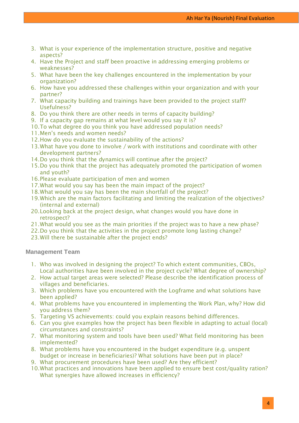- 3. What is your experience of the implementation structure, positive and negative aspects?
- 4. Have the Project and staff been proactive in addressing emerging problems or weaknesses?
- 5. What have been the key challenges encountered in the implementation by your organization?
- 6. How have you addressed these challenges within your organization and with your partner?
- 7. What capacity building and trainings have been provided to the project staff? Usefulness?
- 8. Do you think there are other needs in terms of capacity building?
- 9. If a capacity gap remains at what level would you say it is?
- 10.To what degree do you think you have addressed population needs?
- 11.Men's needs and women needs?
- 12.How do you evaluate the sustainability of the actions?
- 13.What have you done to involve / work with institutions and coordinate with other development partners?
- 14. Do you think that the dynamics will continue after the project?
- 15.Do you think that the project has adequately promoted the participation of women and youth?
- 16.Please evaluate participation of men and women
- 17.What would you say has been the main impact of the project?
- 18.What would you say has been the main shortfall of the project?
- 19.Which are the main factors facilitating and limiting the realization of the objectives? (internal and external)
- 20.Looking back at the project design, what changes would you have done in retrospect?
- 21.What would you see as the main priorities if the project was to have a new phase?
- 22.Do you think that the activities in the project promote long lasting change?
- 23.Will there be sustainable after the project ends?

#### **Management Team**

- 1. Who was involved in designing the project? To which extent communities, CBOs, Local authorities have been involved in the project cycle? What degree of ownership?
- 2. How actual target areas were selected? Please describe the identification process of villages and beneficiaries.
- 3. Which problems have you encountered with the Logframe and what solutions have been applied?
- 4. What problems have you encountered in implementing the Work Plan, why? How did you address them?
- 5. Targeting VS achievements: could you explain reasons behind differences.
- 6. Can you give examples how the project has been flexible in adapting to actual (local) circumstances and constraints?
- 7. What monitoring system and tools have been used? What field monitoring has been implemented?
- 8. What problems have you encountered in the budget expenditure (e.g. unspent budget or increase in beneficiaries)? What solutions have been put in place?
- 9. What procurement procedures have been used? Are they efficient?
- 10.What practices and innovations have been applied to ensure best cost/quality ration? What synergies have allowed increases in efficiency?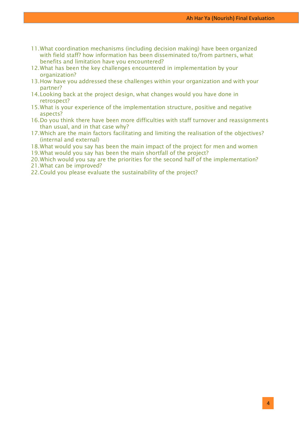- 11.What coordination mechanisms (including decision making) have been organized with field staff? how information has been disseminated to/from partners, what benefits and limitation have you encountered?
- 12.What has been the key challenges encountered in implementation by your organization?
- 13.How have you addressed these challenges within your organization and with your partner?
- 14.Looking back at the project design, what changes would you have done in retrospect?
- 15.What is your experience of the implementation structure, positive and negative aspects?
- 16.Do you think there have been more difficulties with staff turnover and reassignments than usual, and in that case why?
- 17.Which are the main factors facilitating and limiting the realisation of the objectives? (internal and external)
- 18.What would you say has been the main impact of the project for men and women
- 19.What would you say has been the main shortfall of the project?
- 20.Which would you say are the priorities for the second half of the implementation?
- 21.What can be improved?
- 22.Could you please evaluate the sustainability of the project?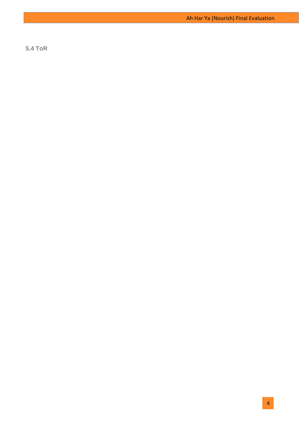<span id="page-42-0"></span>**5.4 ToR**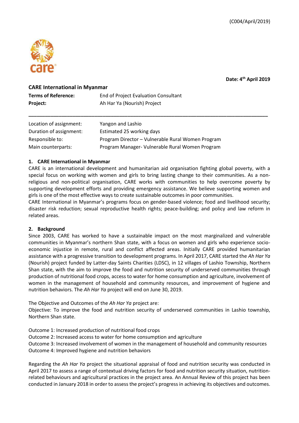

**Date: 4th April 2019**

#### **CARE International in Myanmar**

| <b>Terms of Reference:</b> | End of Project Evaluation Consultant |
|----------------------------|--------------------------------------|
| Project:                   | Ah Har Ya (Nourish) Project          |

| Location of assignment: | Yangon and Lashio                                 |
|-------------------------|---------------------------------------------------|
| Duration of assignment: | Estimated 25 working days                         |
| Responsible to:         | Program Director - Vulnerable Rural Women Program |
| Main counterparts:      | Program Manager- Vulnerable Rural Women Program   |

#### **1. CARE International in Myanmar**

CARE is an international development and humanitarian aid organisation fighting global poverty, with a special focus on working with women and girls to bring lasting change to their communities. As a nonreligious and non-political organisation, CARE works with communities to help overcome poverty by supporting development efforts and providing emergency assistance. We believe supporting women and girls is one of the most effective ways to create sustainable outcomes in poor communities.

**\_\_\_\_\_\_\_\_\_\_\_\_\_\_\_\_\_\_\_\_\_\_\_\_\_\_\_\_\_\_\_\_\_\_\_\_\_\_\_\_\_\_\_\_\_\_\_\_\_\_\_\_\_\_\_\_\_\_\_\_\_\_\_\_\_\_\_\_\_\_\_\_\_\_\_\_\_\_\_\_\_\_\_\_\_\_\_**

CARE International in Myanmar's programs focus on gender-based violence; food and livelihood security; disaster risk reduction; sexual reproductive health rights; peace-building; and policy and law reform in related areas.

#### **2. Background**

Since 2003, CARE has worked to have a sustainable impact on the most marginalized and vulnerable communities in Myanmar's northern Shan state, with a focus on women and girls who experience socioeconomic injustice in remote, rural and conflict affected areas. Initially CARE provided humanitarian assistance with a progressive transition to development programs. In April 2017, CARE started the *Ah Har Ya* (Nourish) project funded by Latter-day Saints Charities (LDSC), in 12 villages of Lashio Township, Northern Shan state, with the aim to improve the food and nutrition security of underserved communities through production of nutritional food crops, access to water for home consumption and agriculture, involvement of women in the management of household and community resources, and improvement of hygiene and nutrition behaviors. The *Ah Har Ya* project will end on June 30, 2019.

The Objective and Outcomes of the *Ah Har Ya* project are:

Objective: To improve the food and nutrition security of underserved communities in Lashio township, Northern Shan state.

Outcome 1: Increased production of nutritional food crops

Outcome 2: Increased access to water for home consumption and agriculture

Outcome 3: Increased involvement of women in the management of household and community resources Outcome 4: Improved hygiene and nutrition behaviors

Regarding the *Ah Har Ya* project the situational appraisal of food and nutrition security was conducted in April 2017 to assess a range of contextual driving factors for food and nutrition security situation, nutritionrelated behaviours and agricultural practices in the project area. An Annual Review of this project has been conducted in January 2018 in order to assess the project's progress in achieving its objectives and outcomes.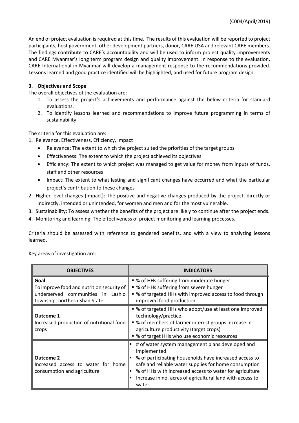An end of project evaluation is required at this time. The results of this evaluation will be reported to project participants, host government, other development partners, donor, CARE USA and relevant CARE members. The findings contribute to CARE's accountability and will be used to inform project quality improvements and CARE Myanmar's long term program design and quality improvement. In response to the evaluation, CARE International in Myanmar will develop a management response to the recommendations provided. Lessons learned and good practice identified will be highlighted, and used for future program design.

#### **3. Objectives and Scope**

The overall objectives of the evaluation are:

- 1. To assess the project's achievements and performance against the below criteria for standard evaluations.
- 2. To identify lessons learned and recommendations to improve future programming in terms of sustainability.

The criteria for this evaluation are:

- 1. Relevance, Effectiveness, Efficiency, Impact
	- Relevance: The extent to which the project suited the priorities of the target groups
	- Effectiveness: The extent to which the project achieved its objectives
	- Efficiency: The extent to which project was managed to get value for money from inputs of funds, staff and other resources
	- Impact: The extent to what lasting and significant changes have occurred and what the particular project's contribution to these changes
- 2. Higher level changes (Impact): The positive and negative changes produced by the project, directly or indirectly, intended or unintended, for women and men and for the most vulnerable.
- 3. Sustainability: To assess whether the benefits of the project are likely to continue after the project ends.
- 4. Monitoring and learning: The effectiveness of project monitoring and learning processes.

Criteria should be assessed with reference to gendered benefits, and with a view to analyzing lessons learned.

Key areas of investigation are:

| <b>OBJECTIVES</b>                                                                                                        | <b>INDICATORS</b>                                                                                                                                                                                                                                                                                                   |
|--------------------------------------------------------------------------------------------------------------------------|---------------------------------------------------------------------------------------------------------------------------------------------------------------------------------------------------------------------------------------------------------------------------------------------------------------------|
| Goal<br>To improve food and nutrition security of<br>underserved communities in Lashio<br>township, northern Shan State. | • % of HHs suffering from moderate hunger<br>■ % of HHs suffering from severe hunger<br>• % of targeted HHs with improved access to food through<br>improved food production                                                                                                                                        |
| <b>Outcome 1</b><br>Increased production of nutritional food<br>crops                                                    | • % of targeted HHs who adopt/use at least one improved<br>technology/practice<br>• % of members of farmer interest groups increase in<br>agriculture productivity (target crops)<br>• % of target HHs who use economic resources                                                                                   |
| Outcome 2<br>Increased access to water for home<br>consumption and agriculture                                           | # of water system management plans developed and<br>implemented<br>% of participating households have increased access to<br>safe and reliable water supplies for home consumption<br>% of HHs with increased access to water for agriculture<br>Increase in no. acres of agricultural land with access to<br>water |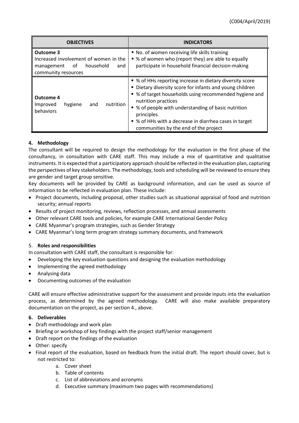| <b>OBJECTIVES</b>                                                                                              | <b>INDICATORS</b>                                                                                                                                                                                                                                                                                                                                                             |
|----------------------------------------------------------------------------------------------------------------|-------------------------------------------------------------------------------------------------------------------------------------------------------------------------------------------------------------------------------------------------------------------------------------------------------------------------------------------------------------------------------|
| Outcome 3<br>Increased involvement of women in the<br>of household<br>and<br>management<br>community resources | ■ No. of women receiving life skills training<br>• % of women who (report they) are able to equally<br>participate in household financial decision-making                                                                                                                                                                                                                     |
| Outcome 4<br>nutrition<br>and<br>Improved<br>hygiene<br>behaviors                                              | • % of HHs reporting increase in dietary diversity score<br>• Dietary diversity score for infants and young children<br>• % of target households using recommended hygiene and<br>nutrition practices<br>• % of people with understanding of basic nutrition<br>principles<br>■ % of HHs with a decrease in diarrhea cases in target<br>communities by the end of the project |

## **4. Methodology**

The consultant will be required to design the methodology for the evaluation in the first phase of the consultancy, in consultation with CARE staff. This may include a mix of quantitative and qualitative instruments. It is expected that a participatory approach should be reflected in the evaluation plan, capturing the perspectives of key stakeholders. The methodology, tools and scheduling will be reviewed to ensure they are gender and target group sensitive.

Key documents will be provided by CARE as background information, and can be used as source of information to be reflected in evaluation plan. These include:

- Project documents, including proposal, other studies such as situational appraisal of food and nutrition security; annual reports
- Results of project monitoring, reviews, reflection processes, and annual assessments
- Other relevant CARE tools and policies, for example CARE International Gender Policy
- CARE Myanmar's program strategies, such as Gender Strategy
- CARE Myanmar's long term program strategy summary documents, and framework

#### 5. **Roles and responsibilities**

In consultation with CARE staff, the consultant is responsible for:

- Developing the key evaluation questions and designing the evaluation methodology
- Implementing the agreed methodology
- Analysing data
- Documenting outcomes of the evaluation

CARE will ensure effective administrative support for the assessment and provide inputs into the evaluation process, as determined by the agreed methodology. CARE will also make available preparatory documentation on the project, as per section 4., above.

#### **6. Deliverables**

- Draft methodology and work plan
- Briefing or workshop of key findings with the project staff/senior management
- Draft report on the findings of the evaluation
- Other: specify
- Final report of the evaluation, based on feedback from the initial draft. The report should cover, but is not restricted to:
	- a. Cover sheet
	- b. Table of contents
	- c. List of abbreviations and acronyms
	- d. Executive summary (maximum two pages with recommendations)